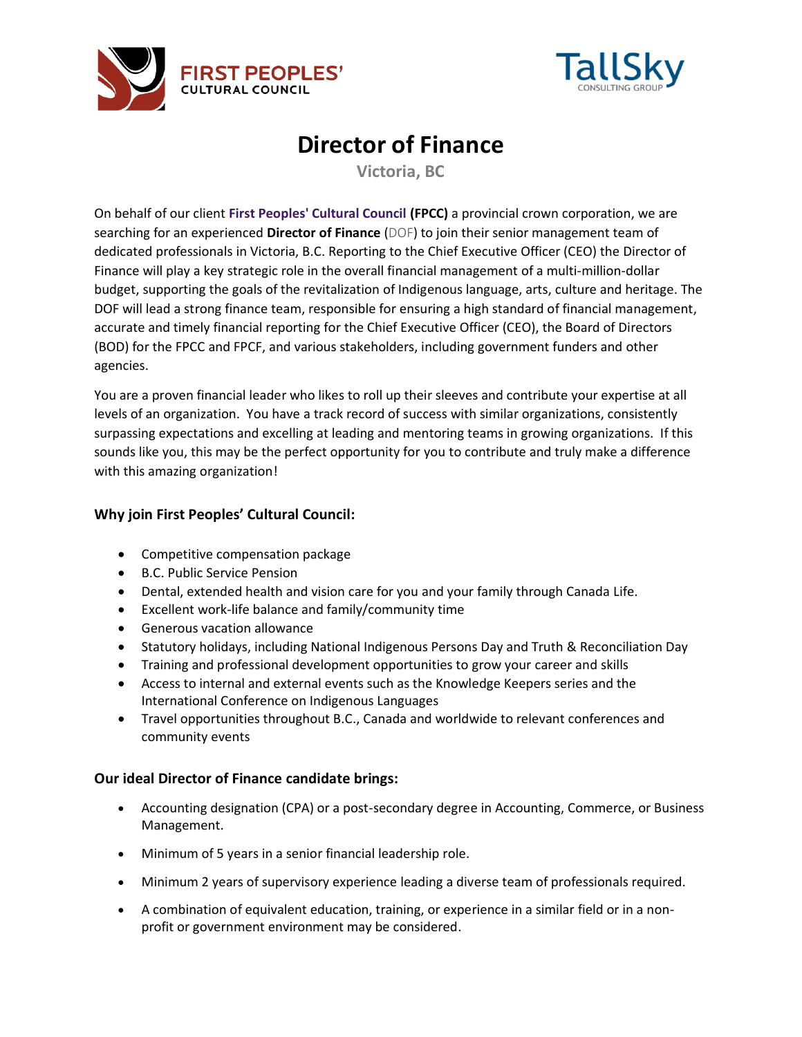



# **Director of Finance**

**Victoria, BC**

On behalf of our client **[First Peoples' Cultural Council](https://fpcc.ca/) (FPCC)** a provincial crown corporation, we are searching for an experienced **Director of Finance** (DOF) to join their senior management team of dedicated professionals in Victoria, B.C. Reporting to the Chief Executive Officer (CEO) the Director of Finance will play a key strategic role in the overall financial management of a multi-million-dollar budget, supporting the goals of the revitalization of Indigenous language, arts, culture and heritage. The DOF will lead a strong finance team, responsible for ensuring a high standard of financial management, accurate and timely financial reporting for the Chief Executive Officer (CEO), the Board of Directors (BOD) for the FPCC and FPCF, and various stakeholders, including government funders and other agencies.

You are a proven financial leader who likes to roll up their sleeves and contribute your expertise at all levels of an organization. You have a track record of success with similar organizations, consistently surpassing expectations and excelling at leading and mentoring teams in growing organizations. If this sounds like you, this may be the perfect opportunity for you to contribute and truly make a difference with this amazing organization!

## **Why join First Peoples' Cultural Council:**

- Competitive compensation package
- B.C. Public Service Pension
- Dental, extended health and vision care for you and your family through Canada Life.
- Excellent work-life balance and family/community time
- Generous vacation allowance
- Statutory holidays, including National Indigenous Persons Day and Truth & Reconciliation Day
- Training and professional development opportunities to grow your career and skills
- Access to internal and external events such as the Knowledge Keepers series and the International Conference on Indigenous Languages
- Travel opportunities throughout B.C., Canada and worldwide to relevant conferences and community events

### **Our ideal Director of Finance candidate brings:**

- Accounting designation (CPA) or a post-secondary degree in Accounting, Commerce, or Business Management.
- Minimum of 5 years in a senior financial leadership role.
- Minimum 2 years of supervisory experience leading a diverse team of professionals required.
- A combination of equivalent education, training, or experience in a similar field or in a nonprofit or government environment may be considered.